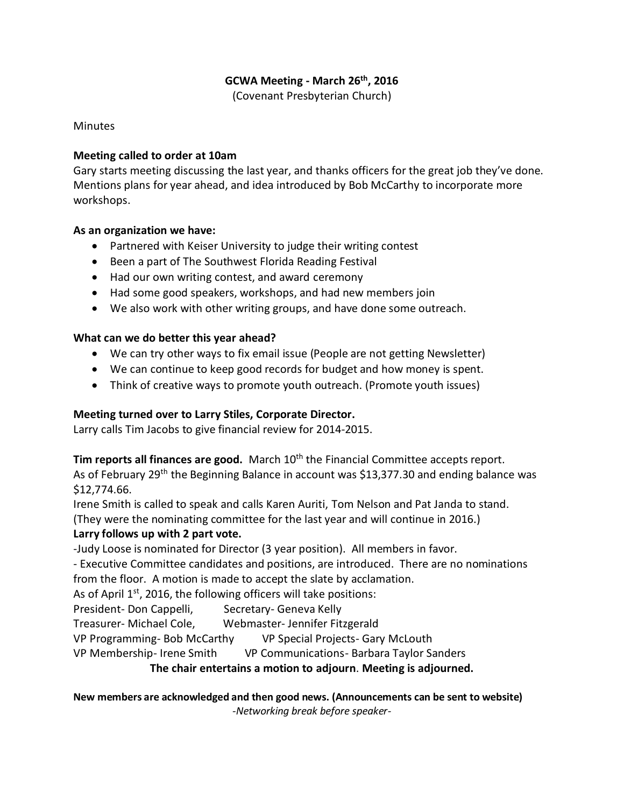# **GCWA Meeting - March 26th, 2016**

(Covenant Presbyterian Church)

Minutes

#### **Meeting called to order at 10am**

Gary starts meeting discussing the last year, and thanks officers for the great job they've done. Mentions plans for year ahead, and idea introduced by Bob McCarthy to incorporate more workshops.

#### **As an organization we have:**

- Partnered with Keiser University to judge their writing contest
- Been a part of The Southwest Florida Reading Festival
- Had our own writing contest, and award ceremony
- Had some good speakers, workshops, and had new members join
- We also work with other writing groups, and have done some outreach.

# **What can we do better this year ahead?**

- We can try other ways to fix email issue (People are not getting Newsletter)
- We can continue to keep good records for budget and how money is spent.
- Think of creative ways to promote youth outreach. (Promote youth issues)

# **Meeting turned over to Larry Stiles, Corporate Director.**

Larry calls Tim Jacobs to give financial review for 2014-2015.

**Tim reports all finances are good.** March 10<sup>th</sup> the Financial Committee accepts report. As of February 29<sup>th</sup> the Beginning Balance in account was \$13,377.30 and ending balance was \$12,774.66.

Irene Smith is called to speak and calls Karen Auriti, Tom Nelson and Pat Janda to stand.

(They were the nominating committee for the last year and will continue in 2016.)

# **Larry follows up with 2 part vote.**

-Judy Loose is nominated for Director (3 year position). All members in favor.

- Executive Committee candidates and positions, are introduced. There are no nominations from the floor. A motion is made to accept the slate by acclamation.

As of April  $1<sup>st</sup>$ , 2016, the following officers will take positions:

President- Don Cappelli, Secretary- Geneva Kelly

Treasurer- Michael Cole, Webmaster- Jennifer Fitzgerald

VP Programming- Bob McCarthy VP Special Projects- Gary McLouth

VP Membership- Irene Smith VP Communications- Barbara Taylor Sanders

# **The chair entertains a motion to adjourn**. **Meeting is adjourned.**

**New members are acknowledged and then good news. (Announcements can be sent to website)** *-Networking break before speaker-*